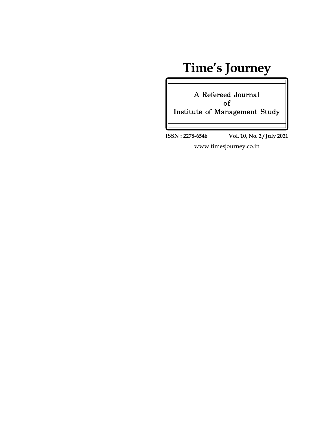### **Time's Journey**

**A Refereed Journal of Institute of Management Study**

**ISSN : 2278-6546 Vol. 10, No. 2 / July 2021**

www.timesjourney.co.in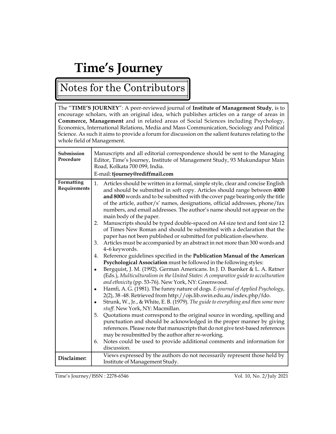# **Time's Journey**

### Notes for the Contributors

The "**TIME'S JOURNEY**": A peer-reviewed journal of **Institute of Management Study**, is to encourage scholars, with an original idea, which publishes articles on a range of areas in **Commerce, Management** and in related areas of Social Sciences including Psychology, Economics, International Relations, Media and Mass Communication, Sociology and Political Science. As such it aims to provide a forum for discussion on the salient features relating to the whole field of Management.

| Submission<br>Procedure    | Manuscripts and all editorial correspondence should be sent to the Managing<br>Editor, Time's Journey, Institute of Management Study, 93 Mukundapur Main<br>Road, Kolkata 700 099, India.<br>E-mail: tjourney@rediffmail.com                                                                                                                                                                                                                                                                                                                                                                                                                                                                                                                                                                                                                                                                                                                                                                                                                                                                                                                                                                                                                                                                                                                                                                                                                                                                                                                                                                                                                                                                                                                                                                                                                                                                           |
|----------------------------|--------------------------------------------------------------------------------------------------------------------------------------------------------------------------------------------------------------------------------------------------------------------------------------------------------------------------------------------------------------------------------------------------------------------------------------------------------------------------------------------------------------------------------------------------------------------------------------------------------------------------------------------------------------------------------------------------------------------------------------------------------------------------------------------------------------------------------------------------------------------------------------------------------------------------------------------------------------------------------------------------------------------------------------------------------------------------------------------------------------------------------------------------------------------------------------------------------------------------------------------------------------------------------------------------------------------------------------------------------------------------------------------------------------------------------------------------------------------------------------------------------------------------------------------------------------------------------------------------------------------------------------------------------------------------------------------------------------------------------------------------------------------------------------------------------------------------------------------------------------------------------------------------------|
| Formatting<br>Requirements | 1.<br>Articles should be written in a formal, simple style, clear and concise English<br>and should be submitted in soft copy. Articles should range between 4000<br>and 8000 words and to be submitted with the cover page bearing only the title<br>of the article, author/s' names, designations, official addresses, phone/fax<br>numbers, and email addresses. The author's name should not appear on the<br>main body of the paper.<br>2. Manuscripts should be typed double-spaced on A4 size text and font size 12<br>of Times New Roman and should be submitted with a declaration that the<br>paper has not been published or submitted for publication elsewhere.<br>Articles must be accompanied by an abstract in not more than 300 words and<br>3.<br>4-6 keywords.<br>Reference guidelines specified in the Publication Manual of the American<br>4.<br>Psychological Association must be followed in the following styles:<br>Bergquist, J. M. (1992). German Americans. In J. D. Buenker & L. A. Ratner<br>$\bullet$<br>(Eds.), Multiculturalism in the United States: A comparative guide to acculturation<br>and ethnicity (pp. 53-76). New York, NY: Greenwood.<br>Hamfi, A.G. (1981). The funny nature of dogs. E-journal of Applied Psychology,<br>$\bullet$<br>2(2), 38-48. Retrieved from http://ojs.lib.swin.edu.au/index.php/fdo.<br>Strunk, W., Jr., & White, E. B. (1979). The guide to everything and then some more<br>$\bullet$<br>stuff. New York, NY: Macmillan.<br>Quotations must correspond to the original source in wording, spelling and<br>5.<br>punctuation and should be acknowledged in the proper manner by giving<br>references. Please note that manuscripts that do not give text-based references<br>may be resubmitted by the author after re-working.<br>Notes could be used to provide additional comments and information for<br>6.<br>discussion. |
| Disclaimer:                | Views expressed by the authors do not necessarily represent those held by<br>Institute of Management Study.                                                                                                                                                                                                                                                                                                                                                                                                                                                                                                                                                                                                                                                                                                                                                                                                                                                                                                                                                                                                                                                                                                                                                                                                                                                                                                                                                                                                                                                                                                                                                                                                                                                                                                                                                                                            |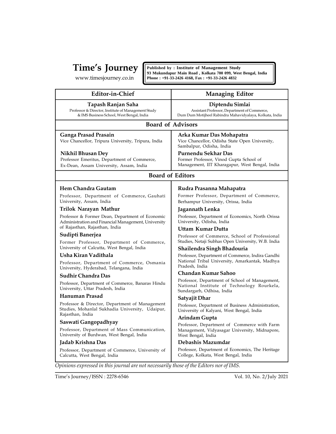$\left[\text{Time's Journey} \atop \text{www.timesjourney.co.in} \left[\text{Published by : Institute of Management Study} \atop \text{93 Mukundapur Main Road, Kolkata 700 099, West Bengal, India} \right]\right]$ 

| <b>Managing Editor</b>                                                                                                      |
|-----------------------------------------------------------------------------------------------------------------------------|
| Diptendu Simlai<br>Assistant Professor, Department of Commerce,<br>Dum Dum Motijheel Rabindra Mahavidyalaya, Kolkata, India |
|                                                                                                                             |
| Arka Kumar Das Mohapatra<br>Vice Chancellor, Odisha State Open University,                                                  |
| Former Professor, Vinod Gupta School of<br>Management, IIT Kharagapur, West Bengal, India                                   |
|                                                                                                                             |
| Rudra Prasanna Mahapatra                                                                                                    |
| Former Professor, Department of Commerce,<br>Berhampur University, Orissa, India                                            |
|                                                                                                                             |
| Professor, Department of Economics, North Orissa                                                                            |
|                                                                                                                             |
| Professor of Commerce, School of Professional<br>Studies, Netaji Subhas Open University, W.B. India                         |
| Shailendra Singh Bhadouria                                                                                                  |
| Professor, Department of Commerce, Indira Gandhi<br>National Tribal University, Amarkantak, Madhya                          |
|                                                                                                                             |
| Professor, Department of School of Management,<br>National Institute of Technology Rourkela,                                |
|                                                                                                                             |
| Professor, Department of Business Administration,<br>University of Kalyani, West Bengal, India                              |
|                                                                                                                             |
| Professor, Department of Commerce with Farm<br>Management, Vidyasagar University, Midnapore,                                |
|                                                                                                                             |
| Professor, Department of Economics, The Heritage<br>College, Kolkata, West Bengal, India                                    |
| Opinions expressed in this journal are not necessarily those of the Editors nor of IMS.                                     |
| Vol. 10, No. 2/July 2021                                                                                                    |